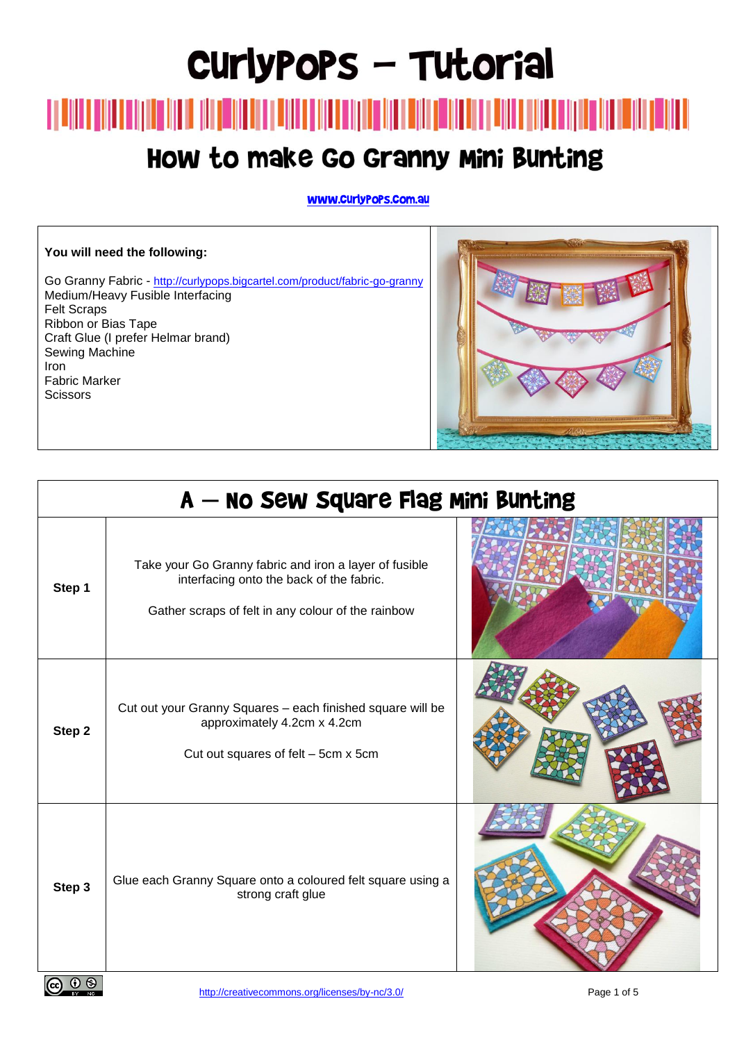# CurlyPoPs - Tutorial

### How to make Go Granny Mini Bunting

www.curlypops.com.au

#### **You will need the following:**

Go Granny Fabric - <http://curlypops.bigcartel.com/product/fabric-go-granny> Medium/Heavy Fusible Interfacing Felt Scraps Ribbon or Bias Tape Craft Glue (I prefer Helmar brand) Sewing Machine Iron Fabric Marker **Scissors** 



| A — No Sew Square Flag Mini Bunting |                                                                                                                                                          |  |
|-------------------------------------|----------------------------------------------------------------------------------------------------------------------------------------------------------|--|
| Step 1                              | Take your Go Granny fabric and iron a layer of fusible<br>interfacing onto the back of the fabric.<br>Gather scraps of felt in any colour of the rainbow |  |
| Step 2                              | Cut out your Granny Squares - each finished square will be<br>approximately 4.2cm x 4.2cm<br>Cut out squares of felt - 5cm x 5cm                         |  |
| Step 3                              | Glue each Granny Square onto a coloured felt square using a<br>strong craft glue                                                                         |  |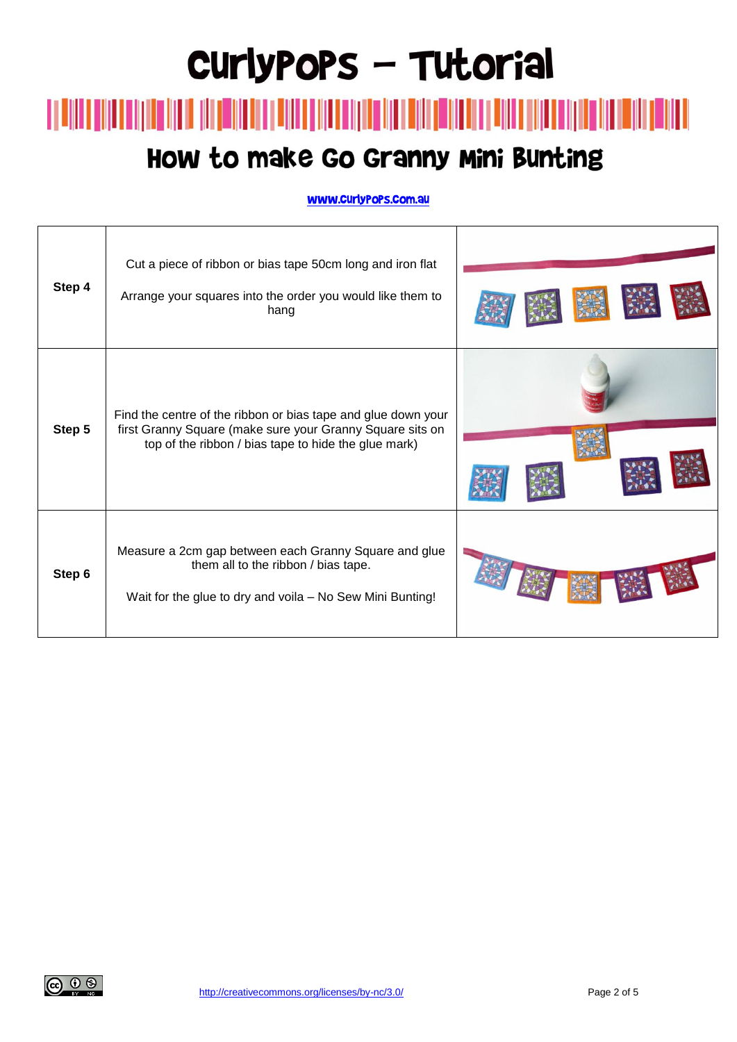### How to make Go Granny Mini Bunting

| Step 4 | Cut a piece of ribbon or bias tape 50cm long and iron flat<br>Arrange your squares into the order you would like them to<br>hang                                                   |  |
|--------|------------------------------------------------------------------------------------------------------------------------------------------------------------------------------------|--|
| Step 5 | Find the centre of the ribbon or bias tape and glue down your<br>first Granny Square (make sure your Granny Square sits on<br>top of the ribbon / bias tape to hide the glue mark) |  |
| Step 6 | Measure a 2cm gap between each Granny Square and glue<br>them all to the ribbon / bias tape.<br>Wait for the glue to dry and voila - No Sew Mini Bunting!                          |  |

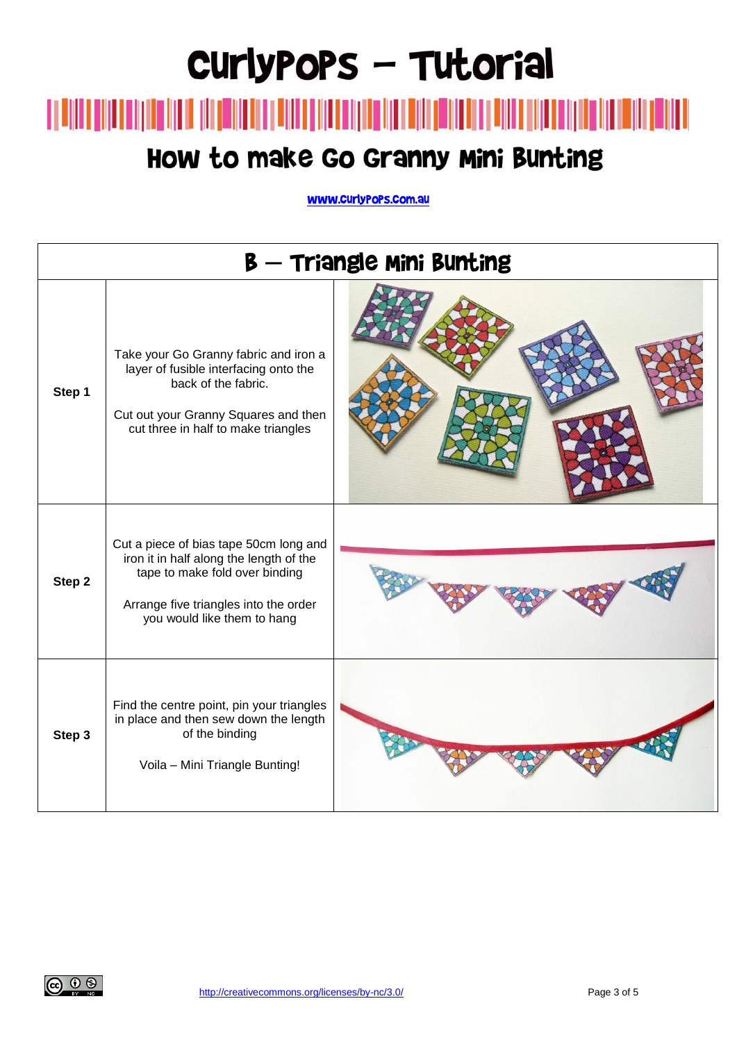#### How to make Go Granny Mini Bunting

| <b>B</b> — Triangle Mini Bunting |                                                                                                                                                                                             |  |  |  |
|----------------------------------|---------------------------------------------------------------------------------------------------------------------------------------------------------------------------------------------|--|--|--|
| Step 1                           | Take your Go Granny fabric and iron a<br>layer of fusible interfacing onto the<br>back of the fabric.<br>Cut out your Granny Squares and then<br>cut three in half to make triangles        |  |  |  |
| Step 2                           | Cut a piece of bias tape 50cm long and<br>iron it in half along the length of the<br>tape to make fold over binding<br>Arrange five triangles into the order<br>you would like them to hang |  |  |  |
| Step 3                           | Find the centre point, pin your triangles<br>in place and then sew down the length<br>of the binding<br>Voila - Mini Triangle Bunting!                                                      |  |  |  |

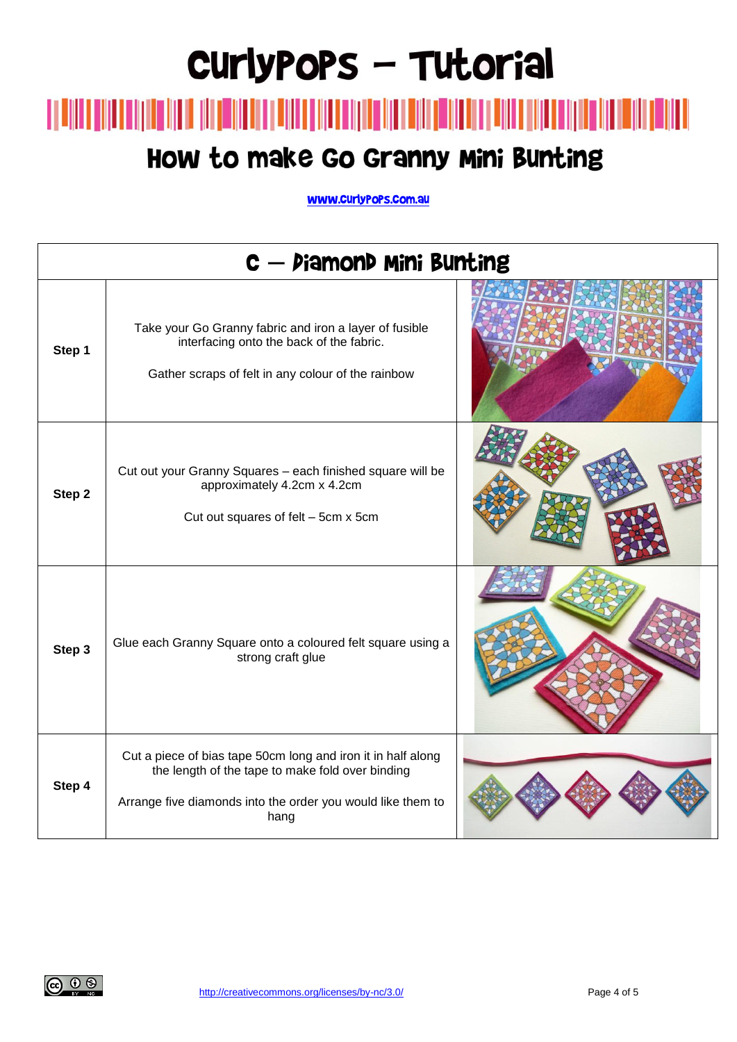### 

#### How to make Go Granny Mini Bunting

| C - Diamond Mini Bunting |                                                                                                                                                                                         |  |
|--------------------------|-----------------------------------------------------------------------------------------------------------------------------------------------------------------------------------------|--|
| Step 1                   | Take your Go Granny fabric and iron a layer of fusible<br>interfacing onto the back of the fabric.<br>Gather scraps of felt in any colour of the rainbow                                |  |
| Step 2                   | Cut out your Granny Squares - each finished square will be<br>approximately 4.2cm x 4.2cm<br>Cut out squares of felt - 5cm x 5cm                                                        |  |
| Step 3                   | Glue each Granny Square onto a coloured felt square using a<br>strong craft glue                                                                                                        |  |
| Step 4                   | Cut a piece of bias tape 50cm long and iron it in half along<br>the length of the tape to make fold over binding<br>Arrange five diamonds into the order you would like them to<br>hang |  |